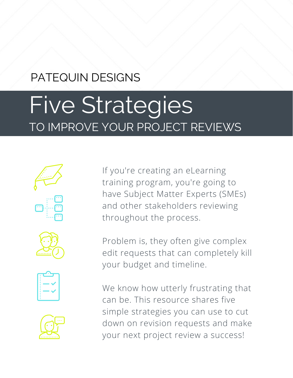# PATEQUIN DESIGNS

# Five Strategies TO IMPROVE YOUR PROJECT REVIEWS









If you're creating an eLearning training program, you're going to have Subject Matter Experts (SMEs) and other stakeholders reviewing throughout the process.

Problem is, they often give complex edit requests that can completely kill your budget and timeline.

We know how utterly frustrating that can be. This resource shares five simple strategies you can use to cut down on revision requests and make your next project review a success!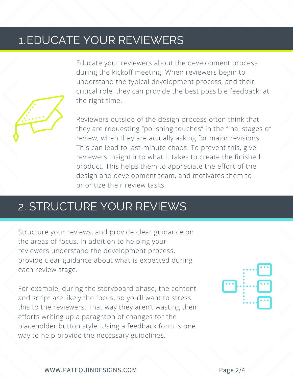#### 1.EDUCATE YOUR REVIEWERS

Educate your reviewers about the development process during the kickoff meeting. When reviewers begin to understand the typical development process, and their critical role, they can provide the best possible feedback, at the right time.

Reviewers outside of the design process often think that they are requesting "polishing touches" in the final stages of review, when they are actually asking for major revisions. This can lead to last-minute chaos. To prevent this, give reviewers insight into what it takes to create the finished product. This helps them to appreciate the effort of the design and development team, and motivates them to prioritize their review tasks

# 2. STRUCTURE YOUR REVIEWS

Structure your reviews, and provide clear guidance on the areas of focus. In addition to helping your reviewers understand the development process, provide clear guidance about what is expected during each review stage.

For example, during the storyboard phase, the content and script are likely the focus, so you'll want to stress this to the reviewers. That way they aren't wasting their efforts writing up a paragraph of changes for the placeholder button style. Using a feedback form is one way to help provide the necessary guidelines.



WWW.PATEQUINDESIGNS.COM Page 2/4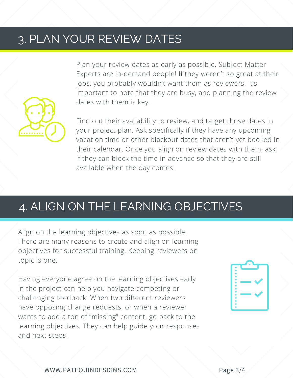### 3. PLAN YOUR REVIEW DATES

Plan your review dates as early as possible. Subject Matter Experts are in-demand people! If they weren't so great at their jobs, you probably wouldn't want them as reviewers. It's important to note that they are busy, and planning the review dates with them is key.

Find out their availability to review, and target those dates in your project plan. Ask specifically if they have any upcoming vacation time or other blackout dates that aren't yet booked in their calendar. Once you align on review dates with them, ask if they can block the time in advance so that they are still available when the day comes.

#### 4. ALIGN ON THE LEARNING OBJECTIVES

Align on the learning objectives as soon as possible. There are many reasons to create and align on learning objectives for successful training. Keeping reviewers on topic is one.

Having everyone agree on the learning objectives early in the project can help you navigate competing or challenging feedback. When two different reviewers have opposing change requests, or when a reviewer wants to add a ton of "missing" content, go back to the learning objectives. They can help guide your responses and next steps.